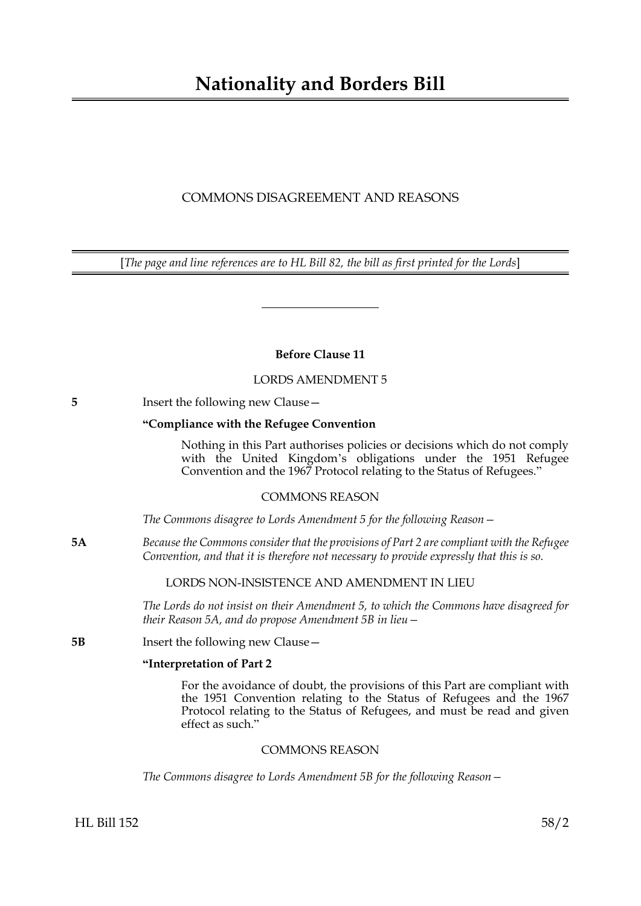# **Nationality and Borders Bill**

## COMMONS DISAGREEMENT AND REASONS

[*The page and line references are to HL Bill 82, the bill as first printed for the Lords*]

**Before Clause 11**

LORDS AMENDMENT 5

**5** Insert the following new Clause —

## **"Compliance with the Refugee Convention**

Nothing in this Part authorises policies or decisions which do not comply with the United Kingdom's obligations under the 1951 Refugee Convention and the 1967 Protocol relating to the Status of Refugees."

## COMMONS REASON

*The Commons disagree to Lords Amendment 5 for the following Reason—*

**5A** *Because the Commons consider that the provisions of Part 2 are compliant with the Refugee Convention, and that it is therefore not necessary to provide expressly that this is so.*

## LORDS NON-INSISTENCE AND AMENDMENT IN LIEU

*The Lords do not insist on their Amendment 5, to which the Commons have disagreed for their Reason 5A, and do propose Amendment 5B in lieu—*

**5B** Insert the following new Clause —

#### **"Interpretation of Part 2**

For the avoidance of doubt, the provisions of this Part are compliant with the 1951 Convention relating to the Status of Refugees and the 1967 Protocol relating to the Status of Refugees, and must be read and given effect as such."

## COMMONS REASON

*The Commons disagree to Lords Amendment 5B for the following Reason—*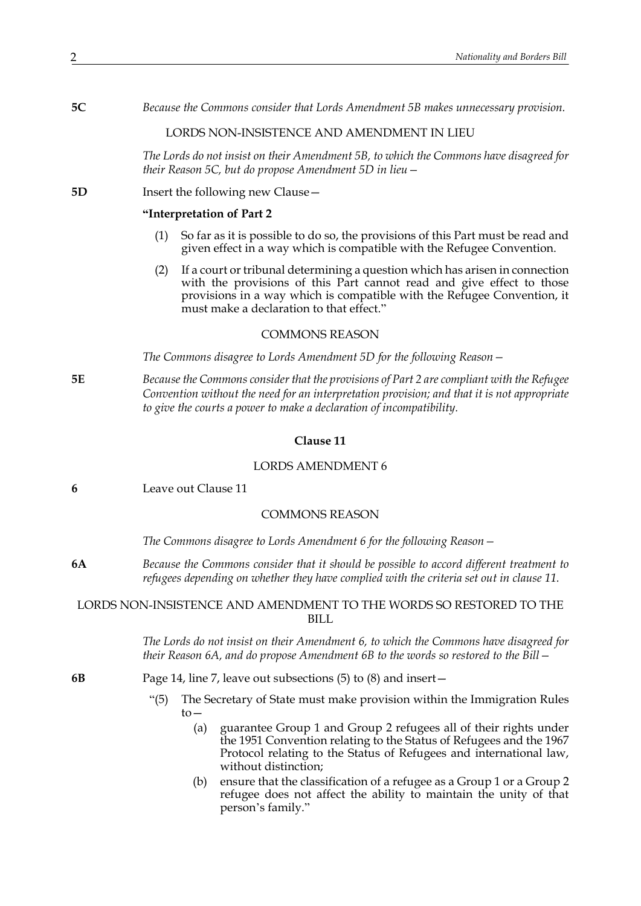**5C** *Because the Commons consider that Lords Amendment 5B makes unnecessary provision.*

### LORDS NON-INSISTENCE AND AMENDMENT IN LIEU

*The Lords do not insist on their Amendment 5B, to which the Commons have disagreed for their Reason 5C, but do propose Amendment 5D in lieu—*

#### **5D** Insert the following new Clause –

#### **"Interpretation of Part 2**

- (1) So far as it is possible to do so, the provisions of this Part must be read and given effect in a way which is compatible with the Refugee Convention.
- (2) If a court or tribunal determining a question which has arisen in connection with the provisions of this Part cannot read and give effect to those provisions in a way which is compatible with the Refugee Convention, it must make a declaration to that effect."

#### COMMONS REASON

*The Commons disagree to Lords Amendment 5D for the following Reason—*

**5E** *Because the Commons consider that the provisions of Part 2 are compliant with the Refugee Convention without the need for an interpretation provision; and that it is not appropriate to give the courts a power to make a declaration of incompatibility.*

#### **Clause 11**

## LORDS AMENDMENT 6

**6** Leave out Clause 11

## COMMONS REASON

*The Commons disagree to Lords Amendment 6 for the following Reason—*

**6A** *Because the Commons consider that it should be possible to accord different treatment to refugees depending on whether they have complied with the criteria set out in clause 11.*

## LORDS NON-INSISTENCE AND AMENDMENT TO THE WORDS SO RESTORED TO THE BILL.

*The Lords do not insist on their Amendment 6, to which the Commons have disagreed for their Reason 6A, and do propose Amendment 6B to the words so restored to the Bill—*

- **6B** Page 14, line 7, leave out subsections (5) to (8) and insert—
	- "(5) The Secretary of State must make provision within the Immigration Rules to—
		- (a) guarantee Group 1 and Group 2 refugees all of their rights under the 1951 Convention relating to the Status of Refugees and the 1967 Protocol relating to the Status of Refugees and international law, without distinction;
		- (b) ensure that the classification of a refugee as a Group 1 or a Group 2 refugee does not affect the ability to maintain the unity of that person's family."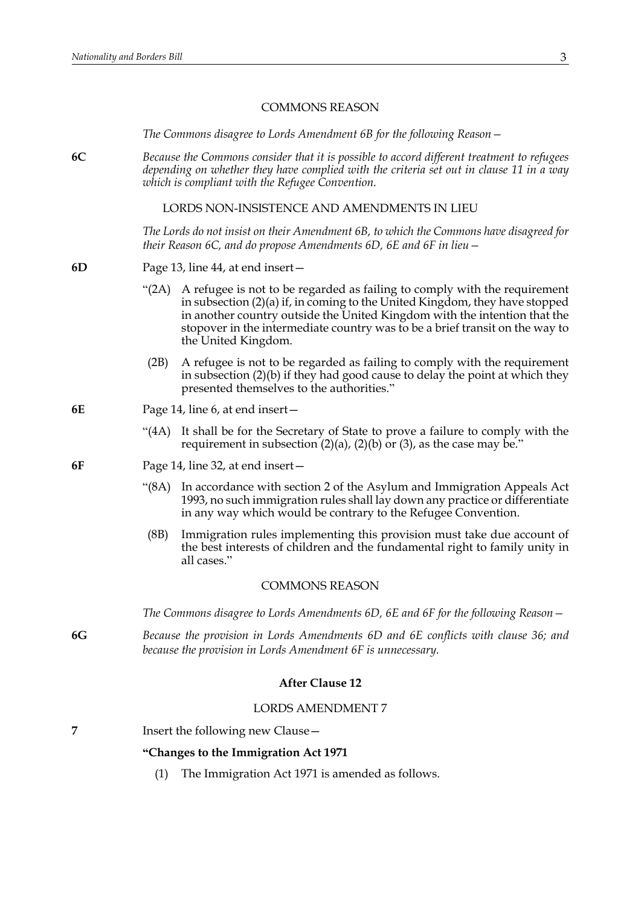#### COMMONS REASON

*The Commons disagree to Lords Amendment 6B for the following Reason—* 

**6C** *Because the Commons consider that it is possible to accord different treatment to refugees depending on whether they have complied with the criteria set out in clause 11 in a way which is compliant with the Refugee Convention.*

LORDS NON-INSISTENCE AND AMENDMENTS IN LIEU

*The Lords do not insist on their Amendment 6B, to which the Commons have disagreed for their Reason 6C, and do propose Amendments 6D, 6E and 6F in lieu—*

- **6D** Page 13, line 44, at end insert—
	- "(2A) A refugee is not to be regarded as failing to comply with the requirement in subsection (2)(a) if, in coming to the United Kingdom, they have stopped in another country outside the United Kingdom with the intention that the stopover in the intermediate country was to be a brief transit on the way to the United Kingdom.
	- (2B) A refugee is not to be regarded as failing to comply with the requirement in subsection (2)(b) if they had good cause to delay the point at which they presented themselves to the authorities."
- **6E** Page 14, line 6, at end insert—
	- "(4A) It shall be for the Secretary of State to prove a failure to comply with the requirement in subsection  $(2)(a)$ ,  $(2)(b)$  or  $(3)$ , as the case may be."
- **6F** Page 14, line 32, at end insert—
	- "(8A) In accordance with section 2 of the Asylum and Immigration Appeals Act 1993, no such immigration rules shall lay down any practice or differentiate in any way which would be contrary to the Refugee Convention.
	- (8B) Immigration rules implementing this provision must take due account of the best interests of children and the fundamental right to family unity in all cases."

#### COMMONS REASON

*The Commons disagree to Lords Amendments 6D, 6E and 6F for the following Reason—*

**6G** *Because the provision in Lords Amendments 6D and 6E conflicts with clause 36; and because the provision in Lords Amendment 6F is unnecessary.*

#### **After Clause 12**

#### LORDS AMENDMENT 7

**7** Insert the following new Clause —

#### **"Changes to the Immigration Act 1971**

(1) The Immigration Act 1971 is amended as follows.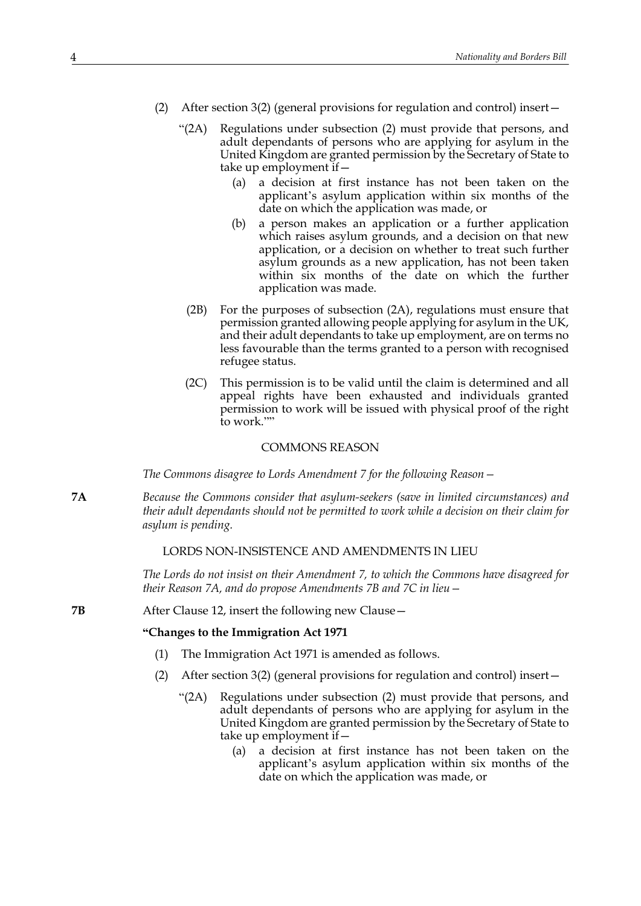- (2) After section 3(2) (general provisions for regulation and control) insert—
	- "(2A) Regulations under subsection (2) must provide that persons, and adult dependants of persons who are applying for asylum in the United Kingdom are granted permission by the Secretary of State to take up employment if—
		- (a) a decision at first instance has not been taken on the applicant's asylum application within six months of the date on which the application was made, or
		- (b) a person makes an application or a further application which raises asylum grounds, and a decision on that new application, or a decision on whether to treat such further asylum grounds as a new application, has not been taken within six months of the date on which the further application was made.
		- (2B) For the purposes of subsection (2A), regulations must ensure that permission granted allowing people applying for asylum in the UK, and their adult dependants to take up employment, are on terms no less favourable than the terms granted to a person with recognised refugee status.
		- (2C) This permission is to be valid until the claim is determined and all appeal rights have been exhausted and individuals granted permission to work will be issued with physical proof of the right to work.""

#### COMMONS REASON

*The Commons disagree to Lords Amendment 7 for the following Reason—*

**7A** *Because the Commons consider that asylum-seekers (save in limited circumstances) and their adult dependants should not be permitted to work while a decision on their claim for asylum is pending.*

#### LORDS NON-INSISTENCE AND AMENDMENTS IN LIEU

*The Lords do not insist on their Amendment 7, to which the Commons have disagreed for their Reason 7A, and do propose Amendments 7B and 7C in lieu—*

**7B** After Clause 12, insert the following new Clause –

#### **"Changes to the Immigration Act 1971**

- (1) The Immigration Act 1971 is amended as follows.
- (2) After section 3(2) (general provisions for regulation and control) insert—
	- "(2A) Regulations under subsection (2) must provide that persons, and adult dependants of persons who are applying for asylum in the United Kingdom are granted permission by the Secretary of State to take up employment if—
		- (a) a decision at first instance has not been taken on the applicant's asylum application within six months of the date on which the application was made, or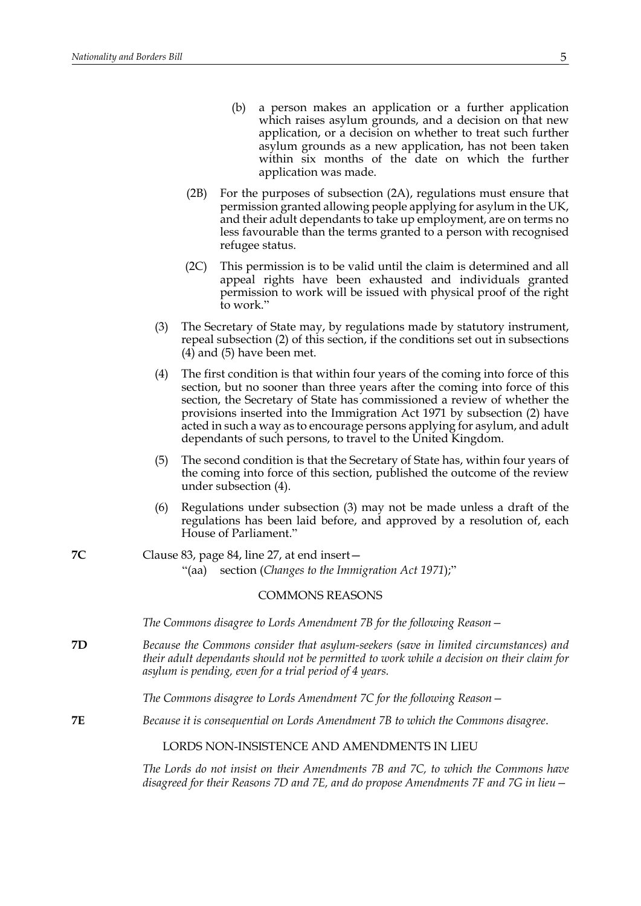| (b) a person makes an application or a further application  |
|-------------------------------------------------------------|
| which raises asylum grounds, and a decision on that new     |
| application, or a decision on whether to treat such further |
| asylum grounds as a new application, has not been taken     |
| within six months of the date on which the further          |
| application was made.                                       |

- (2B) For the purposes of subsection (2A), regulations must ensure that permission granted allowing people applying for asylum in the UK, and their adult dependants to take up employment, are on terms no less favourable than the terms granted to a person with recognised refugee status.
- (2C) This permission is to be valid until the claim is determined and all appeal rights have been exhausted and individuals granted permission to work will be issued with physical proof of the right to work."
- (3) The Secretary of State may, by regulations made by statutory instrument, repeal subsection (2) of this section, if the conditions set out in subsections (4) and (5) have been met.
- (4) The first condition is that within four years of the coming into force of this section, but no sooner than three years after the coming into force of this section, the Secretary of State has commissioned a review of whether the provisions inserted into the Immigration Act 1971 by subsection (2) have acted in such a way as to encourage persons applying for asylum, and adult dependants of such persons, to travel to the United Kingdom.
- (5) The second condition is that the Secretary of State has, within four years of the coming into force of this section, published the outcome of the review under subsection (4).
- (6) Regulations under subsection (3) may not be made unless a draft of the regulations has been laid before, and approved by a resolution of, each House of Parliament."
- **7C** Clause 83, page 84, line 27, at end insert— "(aa) section (*Changes to the Immigration Act 1971*);"

#### COMMONS REASONS

*The Commons disagree to Lords Amendment 7B for the following Reason—* 

**7D** *Because the Commons consider that asylum-seekers (save in limited circumstances) and their adult dependants should not be permitted to work while a decision on their claim for asylum is pending, even for a trial period of 4 years.*

*The Commons disagree to Lords Amendment 7C for the following Reason—*

**7E** *Because it is consequential on Lords Amendment 7B to which the Commons disagree*.

## LORDS NON-INSISTENCE AND AMENDMENTS IN LIEU

*The Lords do not insist on their Amendments 7B and 7C, to which the Commons have disagreed for their Reasons 7D and 7E, and do propose Amendments 7F and 7G in lieu—*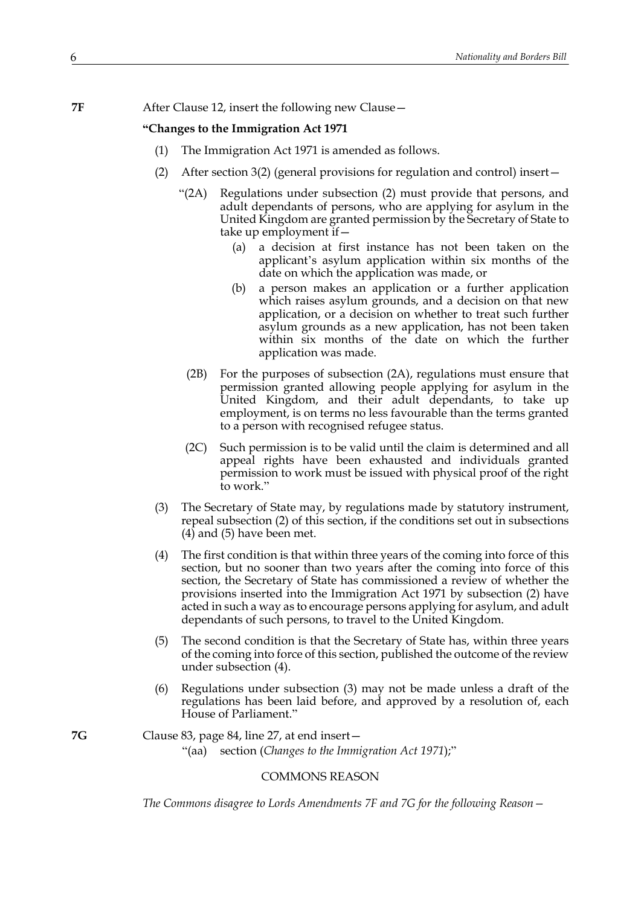**7F** After Clause 12, insert the following new Clause –

#### **"Changes to the Immigration Act 1971**

- (1) The Immigration Act 1971 is amended as follows.
- (2) After section 3(2) (general provisions for regulation and control) insert—
	- "(2A) Regulations under subsection (2) must provide that persons, and adult dependants of persons, who are applying for asylum in the United Kingdom are granted permission by the Secretary of State to take up employment if—
		- (a) a decision at first instance has not been taken on the applicant's asylum application within six months of the date on which the application was made, or
		- (b) a person makes an application or a further application which raises asylum grounds, and a decision on that new application, or a decision on whether to treat such further asylum grounds as a new application, has not been taken within six months of the date on which the further application was made.
		- (2B) For the purposes of subsection (2A), regulations must ensure that permission granted allowing people applying for asylum in the United Kingdom, and their adult dependants, to take up employment, is on terms no less favourable than the terms granted to a person with recognised refugee status.
		- (2C) Such permission is to be valid until the claim is determined and all appeal rights have been exhausted and individuals granted permission to work must be issued with physical proof of the right to work."
- (3) The Secretary of State may, by regulations made by statutory instrument, repeal subsection (2) of this section, if the conditions set out in subsections (4) and (5) have been met.
- (4) The first condition is that within three years of the coming into force of this section, but no sooner than two years after the coming into force of this section, the Secretary of State has commissioned a review of whether the provisions inserted into the Immigration Act 1971 by subsection (2) have acted in such a way as to encourage persons applying for asylum, and adult dependants of such persons, to travel to the United Kingdom.
- (5) The second condition is that the Secretary of State has, within three years of the coming into force of this section, published the outcome of the review under subsection (4).
- (6) Regulations under subsection (3) may not be made unless a draft of the regulations has been laid before, and approved by a resolution of, each House of Parliament."
- **7G** Clause 83, page 84, line 27, at end insert— "(aa) section (*Changes to the Immigration Act 1971*);"

#### COMMONS REASON

*The Commons disagree to Lords Amendments 7F and 7G for the following Reason—*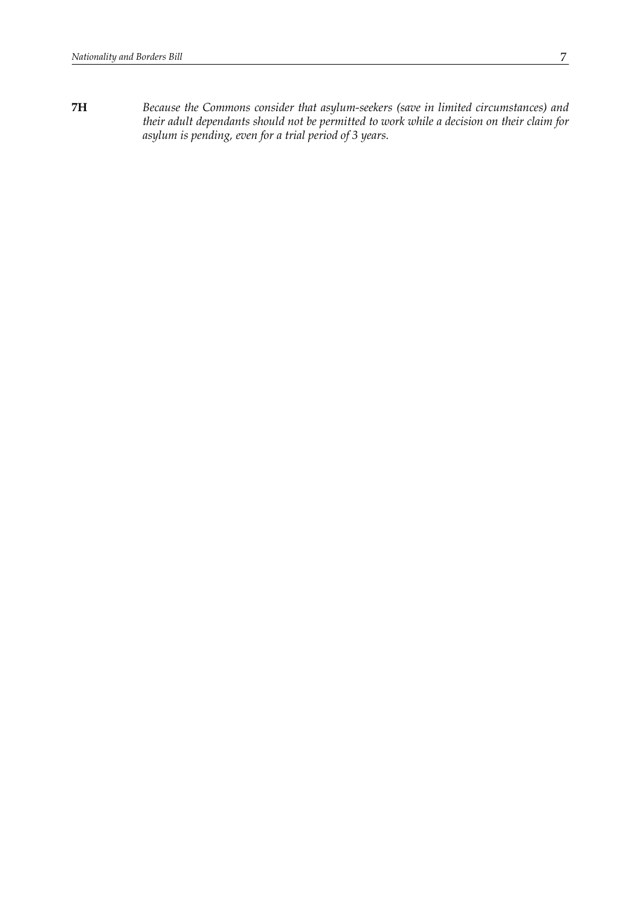**7H** *Because the Commons consider that asylum-seekers (save in limited circumstances) and their adult dependants should not be permitted to work while a decision on their claim for asylum is pending, even for a trial period of 3 years.*